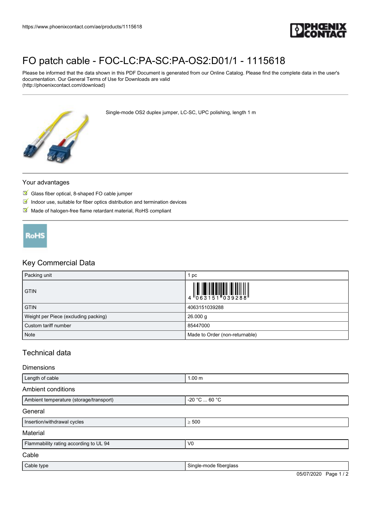

# [FO patch cable - FOC-LC:PA-SC:PA-OS2:D01/1 - 1115618](https://www.phoenixcontact.com/ae/products/1115618)

Please be informed that the data shown in this PDF Document is generated from our Online Catalog. Please find the complete data in the user's documentation. Our General Terms of Use for Downloads are valid (http://phoenixcontact.com/download)

Single-mode OS2 duplex jumper, LC-SC, UPC polishing, length 1 m



#### Your advantages

- Glass fiber optical, 8-shaped FO cable jumper
- $\blacksquare$  Indoor use, suitable for fiber optics distribution and termination devices
- Made of halogen-free flame retardant material, RoHS compliant



### Key Commercial Data

| Packing unit                         | pc                                                                                 |
|--------------------------------------|------------------------------------------------------------------------------------|
| <b>GTIN</b>                          | $\begin{array}{c} 0 & 0 & 0 \\ 0 & 0 & 0 \\ 0 & 0 & 0 \\ 0 & 0 & 0 \\ \end{array}$ |
| <b>GTIN</b>                          | 4063151039288                                                                      |
| Weight per Piece (excluding packing) | 26.000 g                                                                           |
| Custom tariff number                 | 85447000                                                                           |
| <b>Note</b>                          | Made to Order (non-returnable)                                                     |

## Technical data

#### Dimensions

| Length of cable                         | 1.00 m                 |                       |
|-----------------------------------------|------------------------|-----------------------|
| Ambient conditions                      |                        |                       |
| Ambient temperature (storage/transport) | $-20 °C  60 °C$        |                       |
| General                                 |                        |                       |
| Insertion/withdrawal cycles             | $\geq 500$             |                       |
| Material                                |                        |                       |
| Flammability rating according to UL 94  | V <sub>0</sub>         |                       |
| Cable                                   |                        |                       |
| Cable type                              | Single-mode fiberglass |                       |
|                                         |                        | 05/07/2020 Page 1 / 2 |